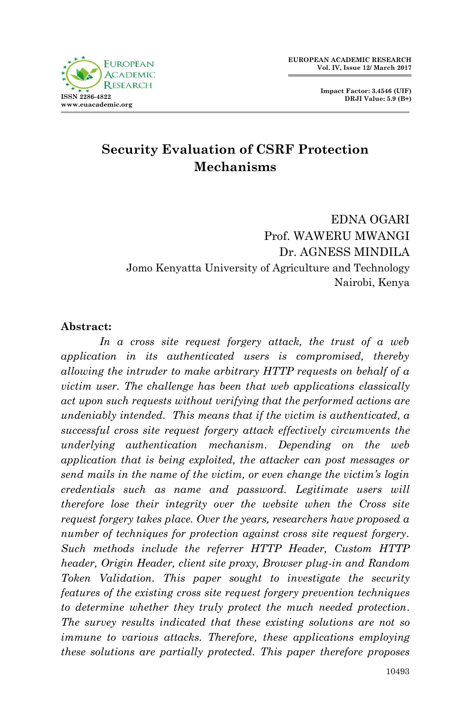

# **Security Evaluation of CSRF Protection Mechanisms**

EDNA OGARI Prof. WAWERU MWANGI Dr. AGNESS MINDILA Jomo Kenyatta University of Agriculture and Technology Nairobi, Kenya

#### **Abstract:**

*In a cross site request forgery attack, the trust of a web application in its authenticated users is compromised, thereby allowing the intruder to make arbitrary HTTP requests on behalf of a victim user. The challenge has been that web applications classically act upon such requests without verifying that the performed actions are undeniably intended. This means that if the victim is authenticated, a successful cross site request forgery attack effectively circumvents the underlying authentication mechanism. Depending on the web application that is being exploited, the attacker can post messages or send mails in the name of the victim, or even change the victim's login credentials such as name and password. Legitimate users will therefore lose their integrity over the website when the Cross site request forgery takes place. Over the years, researchers have proposed a number of techniques for protection against cross site request forgery. Such methods include the referrer HTTP Header, Custom HTTP header, Origin Header, client site proxy, Browser plug-in and Random Token Validation. This paper sought to investigate the security features of the existing cross site request forgery prevention techniques to determine whether they truly protect the much needed protection. The survey results indicated that these existing solutions are not so immune to various attacks. Therefore, these applications employing these solutions are partially protected. This paper therefore proposes*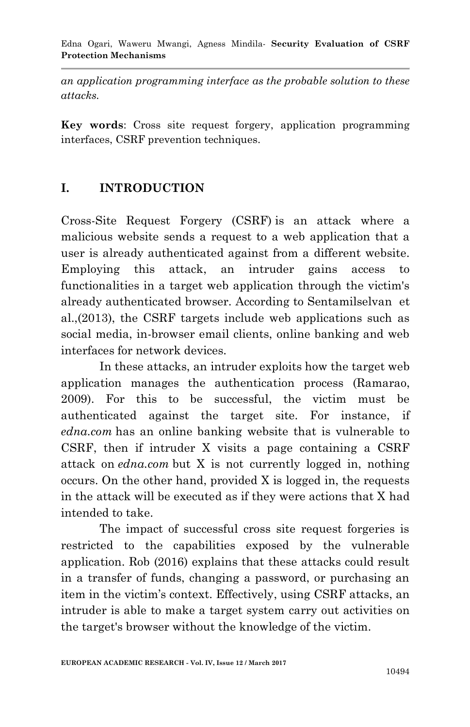*an application programming interface as the probable solution to these attacks.*

**Key words**: Cross site request forgery, application programming interfaces, CSRF prevention techniques.

### **I. INTRODUCTION**

Cross-Site Request Forgery (CSRF) is an attack where a malicious website sends a request to a web application that a user is already authenticated against from a different website. Employing this attack, an intruder gains access to functionalities in a target web application through the victim's already authenticated browser. According to Sentamilselvan et al.,(2013), the CSRF targets include web applications such as social media, in-browser email clients, online banking and web interfaces for network devices.

In these attacks, an intruder exploits how the target web application manages the authentication process (Ramarao, 2009). For this to be successful, the victim must be authenticated against the target site. For instance, if *edna.com* has an online banking website that is vulnerable to CSRF, then if intruder X visits a page containing a CSRF attack on *edna.com* but X is not currently logged in, nothing occurs. On the other hand, provided X is logged in, the requests in the attack will be executed as if they were actions that X had intended to take.

The impact of successful cross site request forgeries is restricted to the capabilities exposed by the vulnerable application. Rob (2016) explains that these attacks could result in a transfer of funds, changing a password, or purchasing an item in the victim's context. Effectively, using CSRF attacks, an intruder is able to make a target system carry out activities on the target's browser without the knowledge of the victim.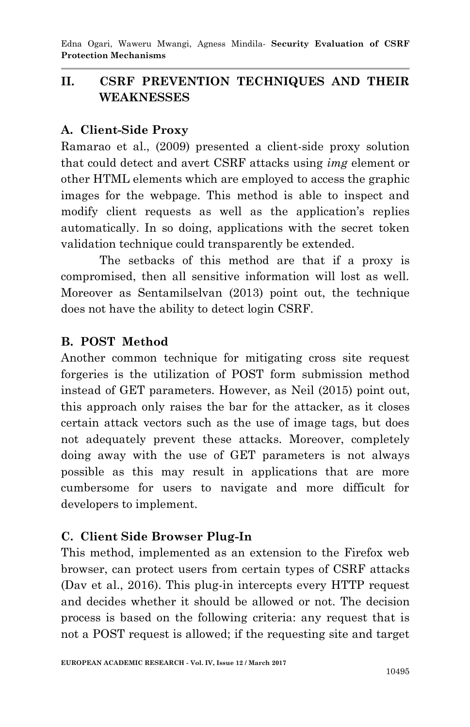# **II. CSRF PREVENTION TECHNIQUES AND THEIR WEAKNESSES**

#### **A. Client-Side Proxy**

Ramarao et al., (2009) presented a client-side proxy solution that could detect and avert CSRF attacks using *img* element or other HTML elements which are employed to access the graphic images for the webpage. This method is able to inspect and modify client requests as well as the application's replies automatically. In so doing, applications with the secret token validation technique could transparently be extended.

The setbacks of this method are that if a proxy is compromised, then all sensitive information will lost as well. Moreover as Sentamilselvan (2013) point out, the technique does not have the ability to detect login CSRF.

#### **B. POST Method**

Another common technique for mitigating cross site request forgeries is the utilization of POST form submission method instead of GET parameters. However, as Neil (2015) point out, this approach only raises the bar for the attacker, as it closes certain attack vectors such as the use of image tags, but does not adequately prevent these attacks. Moreover, completely doing away with the use of GET parameters is not always possible as this may result in applications that are more cumbersome for users to navigate and more difficult for developers to implement.

#### **C. Client Side Browser Plug-In**

This method, implemented as an extension to the Firefox web browser, can protect users from certain types of CSRF attacks (Dav et al., 2016). This plug-in intercepts every HTTP request and decides whether it should be allowed or not. The decision process is based on the following criteria: any request that is not a POST request is allowed; if the requesting site and target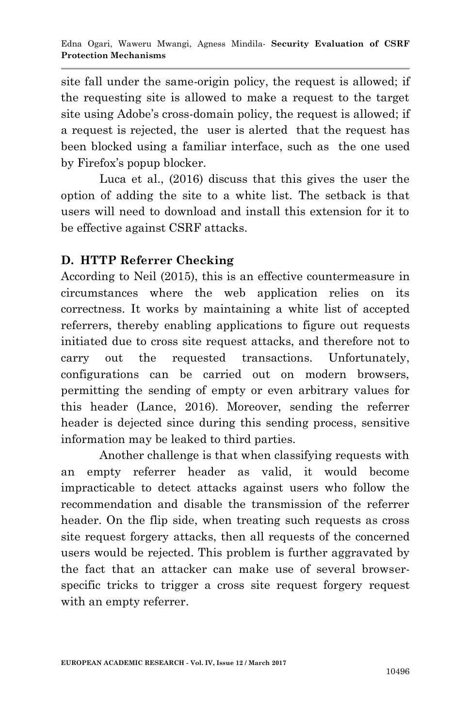site fall under the same-origin policy, the request is allowed; if the requesting site is allowed to make a request to the target site using Adobe's cross-domain policy, the request is allowed; if a request is rejected, the user is alerted that the request has been blocked using a familiar interface, such as the one used by Firefox's popup blocker.

Luca et al., (2016) discuss that this gives the user the option of adding the site to a white list. The setback is that users will need to download and install this extension for it to be effective against CSRF attacks.

### **D. HTTP Referrer Checking**

According to Neil (2015), this is an effective countermeasure in circumstances where the web application relies on its correctness. It works by maintaining a white list of accepted referrers, thereby enabling applications to figure out requests initiated due to cross site request attacks, and therefore not to carry out the requested transactions. Unfortunately, configurations can be carried out on modern browsers, permitting the sending of empty or even arbitrary values for this header (Lance, 2016). Moreover, sending the referrer header is dejected since during this sending process, sensitive information may be leaked to third parties.

Another challenge is that when classifying requests with an empty referrer header as valid, it would become impracticable to detect attacks against users who follow the recommendation and disable the transmission of the referrer header. On the flip side, when treating such requests as cross site request forgery attacks, then all requests of the concerned users would be rejected. This problem is further aggravated by the fact that an attacker can make use of several browserspecific tricks to trigger a cross site request forgery request with an empty referrer.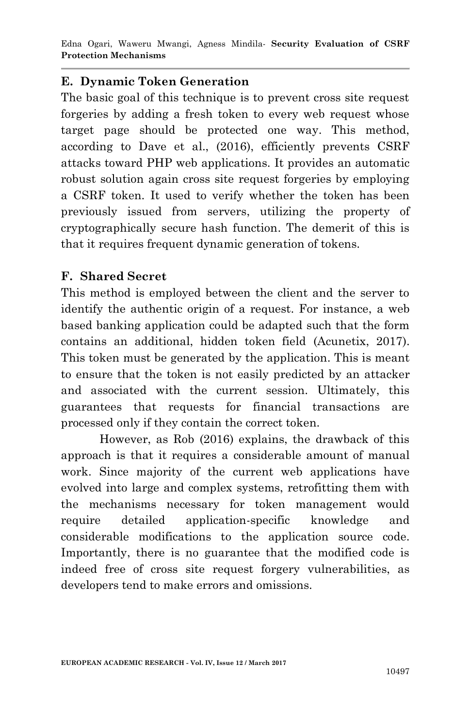#### **E. Dynamic Token Generation**

The basic goal of this technique is to prevent cross site request forgeries by adding a fresh token to every web request whose target page should be protected one way. This method, according to Dave et al., (2016), efficiently prevents CSRF attacks toward PHP web applications. It provides an automatic robust solution again cross site request forgeries by employing a CSRF token. It used to verify whether the token has been previously issued from servers, utilizing the property of cryptographically secure hash function. The demerit of this is that it requires frequent dynamic generation of tokens.

#### **F. Shared Secret**

This method is employed between the client and the server to identify the authentic origin of a request. For instance, a web based banking application could be adapted such that the form contains an additional, hidden token field (Acunetix, 2017). This token must be generated by the application. This is meant to ensure that the token is not easily predicted by an attacker and associated with the current session. Ultimately, this guarantees that requests for financial transactions are processed only if they contain the correct token.

However, as Rob (2016) explains, the drawback of this approach is that it requires a considerable amount of manual work. Since majority of the current web applications have evolved into large and complex systems, retrofitting them with the mechanisms necessary for token management would require detailed application-specific knowledge and considerable modifications to the application source code. Importantly, there is no guarantee that the modified code is indeed free of cross site request forgery vulnerabilities, as developers tend to make errors and omissions.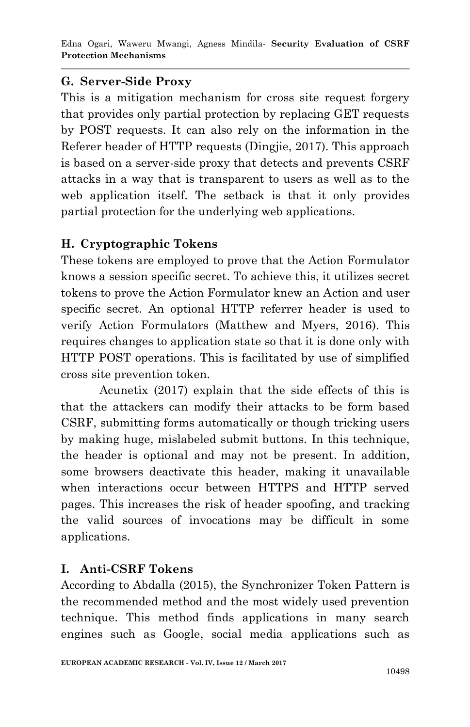#### **G. Server-Side Proxy**

This is a mitigation mechanism for cross site request forgery that provides only partial protection by replacing GET requests by POST requests. It can also rely on the information in the Referer header of HTTP requests (Dingjie, 2017). This approach is based on a server-side proxy that detects and prevents CSRF attacks in a way that is transparent to users as well as to the web application itself. The setback is that it only provides partial protection for the underlying web applications.

### **H. Cryptographic Tokens**

These tokens are employed to prove that the Action Formulator knows a session specific secret. To achieve this, it utilizes secret tokens to prove the Action Formulator knew an Action and user specific secret. An optional HTTP referrer header is used to verify Action Formulators (Matthew and Myers, 2016). This requires changes to application state so that it is done only with HTTP POST operations. This is facilitated by use of simplified cross site prevention token.

Acunetix (2017) explain that the side effects of this is that the attackers can modify their attacks to be form based CSRF, submitting forms automatically or though tricking users by making huge, mislabeled submit buttons. In this technique, the header is optional and may not be present. In addition, some browsers deactivate this header, making it unavailable when interactions occur between HTTPS and HTTP served pages. This increases the risk of header spoofing, and tracking the valid sources of invocations may be difficult in some applications.

### **I. Anti-CSRF Tokens**

According to Abdalla (2015), the Synchronizer Token Pattern is the recommended method and the most widely used prevention technique. This method finds applications in many search engines such as Google, social media applications such as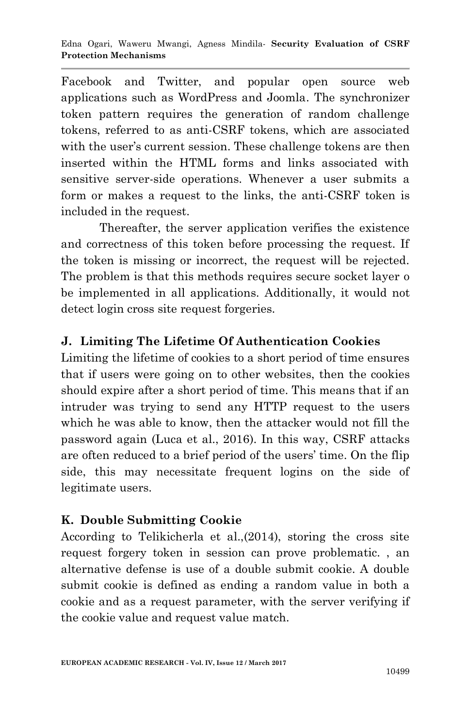Facebook and Twitter, and popular open source web applications such as WordPress and Joomla. The synchronizer token pattern requires the generation of random challenge tokens, referred to as anti-CSRF tokens, which are associated with the user's current session. These challenge tokens are then inserted within the HTML forms and links associated with sensitive server-side operations. Whenever a user submits a form or makes a request to the links, the anti-CSRF token is included in the request.

Thereafter, the server application verifies the existence and correctness of this token before processing the request. If the token is missing or incorrect, the request will be rejected. The problem is that this methods requires secure socket layer o be implemented in all applications. Additionally, it would not detect login cross site request forgeries.

# **J. Limiting The Lifetime Of Authentication Cookies**

Limiting the lifetime of cookies to a short period of time ensures that if users were going on to other websites, then the cookies should expire after a short period of time. This means that if an intruder was trying to send any HTTP request to the users which he was able to know, then the attacker would not fill the password again (Luca et al., 2016). In this way, CSRF attacks are often reduced to a brief period of the users' time. On the flip side, this may necessitate frequent logins on the side of legitimate users.

### **K. Double Submitting Cookie**

According to Telikicherla et al.,(2014), storing the cross site request forgery token in session can prove problematic. , an alternative defense is use of a double submit cookie. A double submit cookie is defined as ending a random value in both a cookie and as a request parameter, with the server verifying if the cookie value and request value match.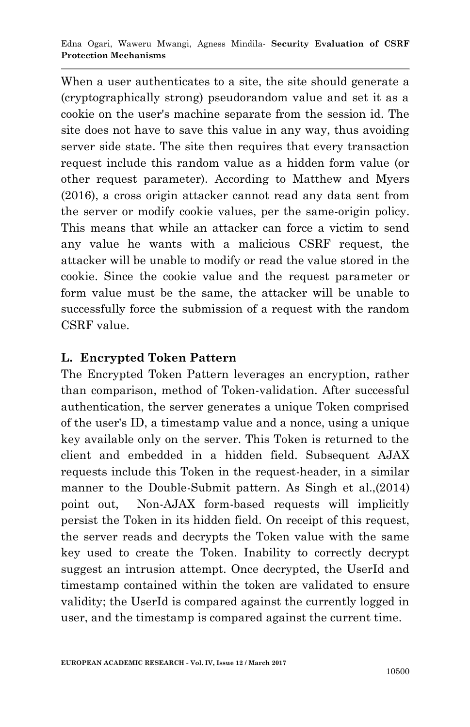When a user authenticates to a site, the site should generate a (cryptographically strong) pseudorandom value and set it as a cookie on the user's machine separate from the session id. The site does not have to save this value in any way, thus avoiding server side state. The site then requires that every transaction request include this random value as a hidden form value (or other request parameter). According to Matthew and Myers (2016), a cross origin attacker cannot read any data sent from the server or modify cookie values, per the same-origin policy. This means that while an attacker can force a victim to send any value he wants with a malicious CSRF request, the attacker will be unable to modify or read the value stored in the cookie. Since the cookie value and the request parameter or form value must be the same, the attacker will be unable to successfully force the submission of a request with the random CSRF value.

### **L. Encrypted Token Pattern**

The Encrypted Token Pattern leverages an encryption, rather than comparison, method of Token-validation. After successful authentication, the server generates a unique Token comprised of the user's ID, a timestamp value and a nonce, using a unique key available only on the server. This Token is returned to the client and embedded in a hidden field. Subsequent AJAX requests include this Token in the request-header, in a similar manner to the Double-Submit pattern. As Singh et al.,(2014) point out, Non-AJAX form-based requests will implicitly persist the Token in its hidden field. On receipt of this request, the server reads and decrypts the Token value with the same key used to create the Token. Inability to correctly decrypt suggest an intrusion attempt. Once decrypted, the UserId and timestamp contained within the token are validated to ensure validity; the UserId is compared against the currently logged in user, and the timestamp is compared against the current time.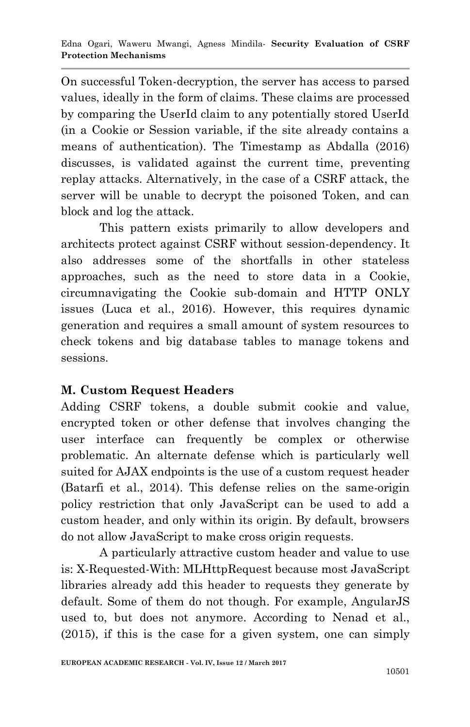On successful Token-decryption, the server has access to parsed values, ideally in the form of claims. These claims are processed by comparing the UserId claim to any potentially stored UserId (in a Cookie or Session variable, if the site already contains a means of authentication). The Timestamp as Abdalla (2016) discusses, is validated against the current time, preventing replay attacks. Alternatively, in the case of a CSRF attack, the server will be unable to decrypt the poisoned Token, and can block and log the attack.

This pattern exists primarily to allow developers and architects protect against CSRF without session-dependency. It also addresses some of the shortfalls in other stateless approaches, such as the need to store data in a Cookie, circumnavigating the Cookie sub-domain and HTTP ONLY issues (Luca et al., 2016). However, this requires dynamic generation and requires a small amount of system resources to check tokens and big database tables to manage tokens and sessions.

# **M. Custom Request Headers**

Adding CSRF tokens, a double submit cookie and value, encrypted token or other defense that involves changing the user interface can frequently be complex or otherwise problematic. An alternate defense which is particularly well suited for AJAX endpoints is the use of a custom request header (Batarfi et al., 2014). This defense relies on the same-origin policy restriction that only JavaScript can be used to add a custom header, and only within its origin. By default, browsers do not allow JavaScript to make cross origin requests.

A particularly attractive custom header and value to use is: X-Requested-With: MLHttpRequest because most JavaScript libraries already add this header to requests they generate by default. Some of them do not though. For example, AngularJS used to, but does not anymore. According to Nenad et al., (2015), if this is the case for a given system, one can simply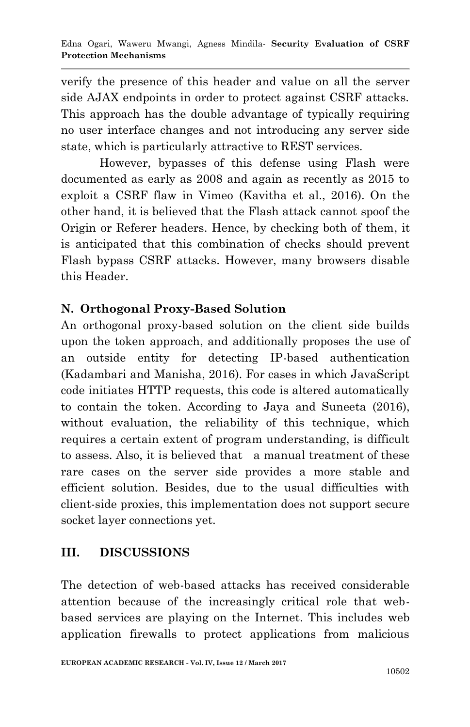verify the presence of this header and value on all the server side AJAX endpoints in order to protect against CSRF attacks. This approach has the double advantage of typically requiring no user interface changes and not introducing any server side state, which is particularly attractive to REST services.

However, bypasses of this defense using Flash were documented as early as 2008 and again as recently as 2015 to exploit a CSRF flaw in Vimeo (Kavitha et al., 2016). On the other hand, it is believed that the Flash attack cannot spoof the Origin or Referer headers. Hence, by checking both of them, it is anticipated that this combination of checks should prevent Flash bypass CSRF attacks. However, many browsers disable this Header.

# **N. Orthogonal Proxy-Based Solution**

An orthogonal proxy-based solution on the client side builds upon the token approach, and additionally proposes the use of an outside entity for detecting IP-based authentication (Kadambari and Manisha, 2016). For cases in which JavaScript code initiates HTTP requests, this code is altered automatically to contain the token. According to Jaya and Suneeta (2016), without evaluation, the reliability of this technique, which requires a certain extent of program understanding, is difficult to assess. Also, it is believed that a manual treatment of these rare cases on the server side provides a more stable and efficient solution. Besides, due to the usual difficulties with client-side proxies, this implementation does not support secure socket layer connections yet.

# **III. DISCUSSIONS**

The detection of web-based attacks has received considerable attention because of the increasingly critical role that webbased services are playing on the Internet. This includes web application firewalls to protect applications from malicious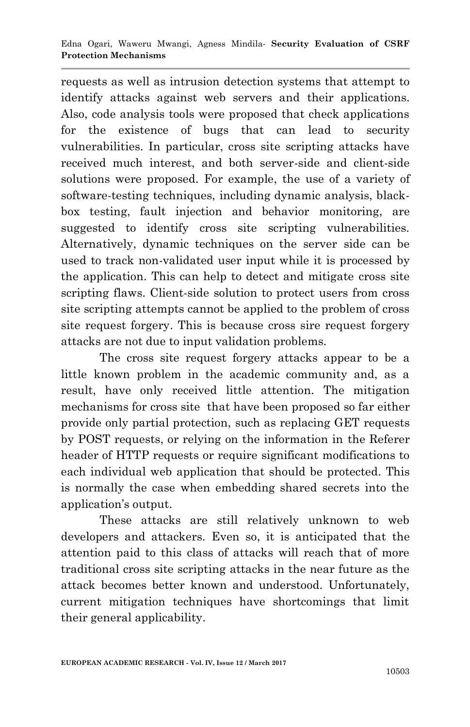requests as well as intrusion detection systems that attempt to identify attacks against web servers and their applications. Also, code analysis tools were proposed that check applications for the existence of bugs that can lead to security vulnerabilities. In particular, cross site scripting attacks have received much interest, and both server-side and client-side solutions were proposed. For example, the use of a variety of software-testing techniques, including dynamic analysis, blackbox testing, fault injection and behavior monitoring, are suggested to identify cross site scripting vulnerabilities. Alternatively, dynamic techniques on the server side can be used to track non-validated user input while it is processed by the application. This can help to detect and mitigate cross site scripting flaws. Client-side solution to protect users from cross site scripting attempts cannot be applied to the problem of cross site request forgery. This is because cross sire request forgery attacks are not due to input validation problems.

The cross site request forgery attacks appear to be a little known problem in the academic community and, as a result, have only received little attention. The mitigation mechanisms for cross site that have been proposed so far either provide only partial protection, such as replacing GET requests by POST requests, or relying on the information in the Referer header of HTTP requests or require significant modifications to each individual web application that should be protected. This is normally the case when embedding shared secrets into the application's output.

These attacks are still relatively unknown to web developers and attackers. Even so, it is anticipated that the attention paid to this class of attacks will reach that of more traditional cross site scripting attacks in the near future as the attack becomes better known and understood. Unfortunately, current mitigation techniques have shortcomings that limit their general applicability.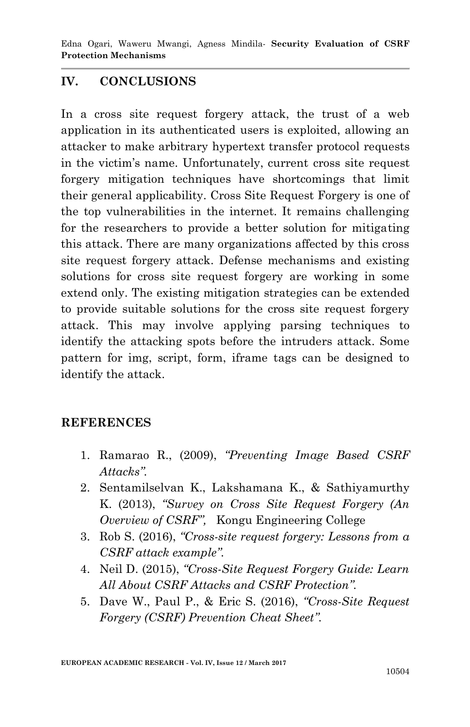# **IV. CONCLUSIONS**

In a cross site request forgery attack, the trust of a web application in its authenticated users is exploited, allowing an attacker to make arbitrary hypertext transfer protocol requests in the victim's name. Unfortunately, current cross site request forgery mitigation techniques have shortcomings that limit their general applicability. Cross Site Request Forgery is one of the top vulnerabilities in the internet. It remains challenging for the researchers to provide a better solution for mitigating this attack. There are many organizations affected by this cross site request forgery attack. Defense mechanisms and existing solutions for cross site request forgery are working in some extend only. The existing mitigation strategies can be extended to provide suitable solutions for the cross site request forgery attack. This may involve applying parsing techniques to identify the attacking spots before the intruders attack. Some pattern for img, script, form, iframe tags can be designed to identify the attack.

### **REFERENCES**

- 1. Ramarao R., (2009), *"Preventing Image Based CSRF Attacks".*
- 2. Sentamilselvan K., Lakshamana K., & Sathiyamurthy K. (2013), *"Survey on Cross Site Request Forgery (An Overview of CSRF",* Kongu Engineering College
- 3. Rob S. (2016), *"Cross-site request forgery: Lessons from a CSRF attack example".*
- 4. Neil D. (2015), *"Cross-Site Request Forgery Guide: Learn All About CSRF Attacks and CSRF Protection".*
- 5. Dave W., Paul P., & Eric S. (2016), *"Cross-Site Request Forgery (CSRF) Prevention Cheat Sheet".*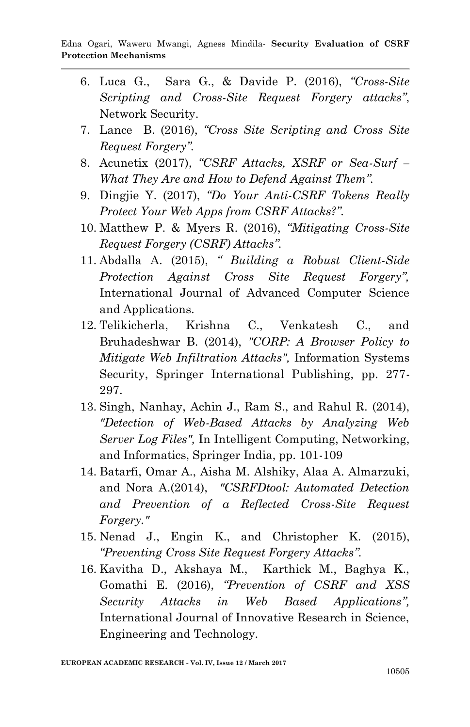- 6. Luca G., Sara G., & Davide P. (2016), *"Cross-Site Scripting and Cross-Site Request Forgery attacks"*, Network Security.
- 7. Lance B. (2016), *"Cross Site Scripting and Cross Site Request Forgery".*
- 8. Acunetix (2017), *"CSRF Attacks, XSRF or Sea-Surf – What They Are and How to Defend Against Them".*
- 9. Dingjie Y. (2017), *"Do Your Anti-CSRF Tokens Really Protect Your Web Apps from CSRF Attacks?".*
- 10. Matthew P. & Myers R. (2016), *"Mitigating Cross-Site Request Forgery (CSRF) Attacks".*
- 11. Abdalla A. (2015), *" Building a Robust Client-Side Protection Against Cross Site Request Forgery",* International Journal of Advanced Computer Science and Applications.
- 12. Telikicherla, Krishna C., Venkatesh C., and Bruhadeshwar B. (2014), *"CORP: A Browser Policy to Mitigate Web Infiltration Attacks",* Information Systems Security, Springer International Publishing, pp. 277- 297.
- 13. Singh, Nanhay, Achin J., Ram S., and Rahul R. (2014), *"Detection of Web-Based Attacks by Analyzing Web Server Log Files",* In Intelligent Computing, Networking, and Informatics, Springer India, pp. 101-109
- 14. Batarfi, Omar A., Aisha M. Alshiky, Alaa A. Almarzuki, and Nora A.(2014), *"CSRFDtool: Automated Detection and Prevention of a Reflected Cross-Site Request Forgery."*
- 15. Nenad J., Engin K., and Christopher K. (2015), *"Preventing Cross Site Request Forgery Attacks".*
- 16. Kavitha D., Akshaya M., Karthick M., Baghya K., Gomathi E. (2016), *"Prevention of CSRF and XSS Security Attacks in Web Based Applications",*  International Journal of Innovative Research in Science, Engineering and Technology.